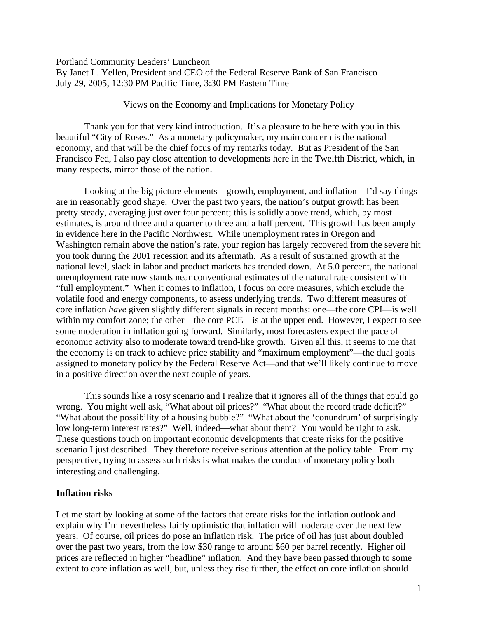Portland Community Leaders' Luncheon

By Janet L. Yellen, President and CEO of the Federal Reserve Bank of San Francisco July 29, 2005, 12:30 PM Pacific Time, 3:30 PM Eastern Time

# Views on the Economy and Implications for Monetary Policy

 Thank you for that very kind introduction. It's a pleasure to be here with you in this beautiful "City of Roses." As a monetary policymaker, my main concern is the national economy, and that will be the chief focus of my remarks today. But as President of the San Francisco Fed, I also pay close attention to developments here in the Twelfth District, which, in many respects, mirror those of the nation.

 Looking at the big picture elements—growth, employment, and inflation—I'd say things are in reasonably good shape. Over the past two years, the nation's output growth has been pretty steady, averaging just over four percent; this is solidly above trend, which, by most estimates, is around three and a quarter to three and a half percent. This growth has been amply in evidence here in the Pacific Northwest. While unemployment rates in Oregon and Washington remain above the nation's rate, your region has largely recovered from the severe hit you took during the 2001 recession and its aftermath. As a result of sustained growth at the national level, slack in labor and product markets has trended down. At 5.0 percent, the national unemployment rate now stands near conventional estimates of the natural rate consistent with "full employment." When it comes to inflation, I focus on core measures, which exclude the volatile food and energy components, to assess underlying trends. Two different measures of core inflation *have* given slightly different signals in recent months: one—the core CPI—is well within my comfort zone; the other—the core PCE—is at the upper end. However, I expect to see some moderation in inflation going forward. Similarly, most forecasters expect the pace of economic activity also to moderate toward trend-like growth. Given all this, it seems to me that the economy is on track to achieve price stability and "maximum employment"—the dual goals assigned to monetary policy by the Federal Reserve Act—and that we'll likely continue to move in a positive direction over the next couple of years.

 This sounds like a rosy scenario and I realize that it ignores all of the things that could go wrong. You might well ask, "What about oil prices?" "What about the record trade deficit?" "What about the possibility of a housing bubble?" "What about the 'conundrum' of surprisingly low long-term interest rates?" Well, indeed—what about them? You would be right to ask. These questions touch on important economic developments that create risks for the positive scenario I just described. They therefore receive serious attention at the policy table. From my perspective, trying to assess such risks is what makes the conduct of monetary policy both interesting and challenging.

# **Inflation risks**

Let me start by looking at some of the factors that create risks for the inflation outlook and explain why I'm nevertheless fairly optimistic that inflation will moderate over the next few years. Of course, oil prices do pose an inflation risk. The price of oil has just about doubled over the past two years, from the low \$30 range to around \$60 per barrel recently. Higher oil prices are reflected in higher "headline" inflation. And they have been passed through to some extent to core inflation as well, but, unless they rise further, the effect on core inflation should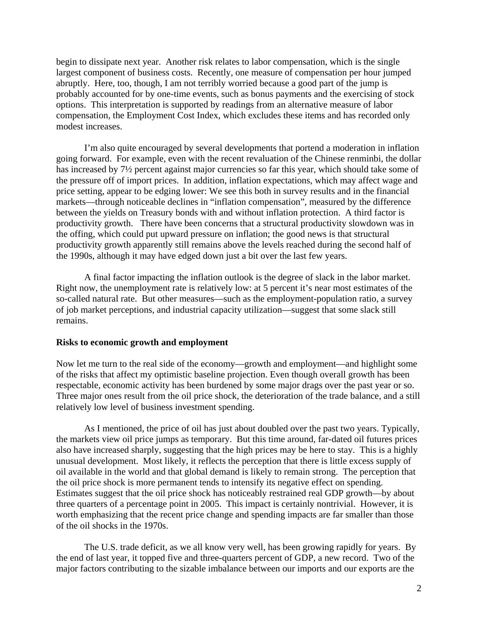begin to dissipate next year. Another risk relates to labor compensation, which is the single largest component of business costs. Recently, one measure of compensation per hour jumped abruptly. Here, too, though, I am not terribly worried because a good part of the jump is probably accounted for by one-time events, such as bonus payments and the exercising of stock options. This interpretation is supported by readings from an alternative measure of labor compensation, the Employment Cost Index, which excludes these items and has recorded only modest increases.

I'm also quite encouraged by several developments that portend a moderation in inflation going forward. For example, even with the recent revaluation of the Chinese renminbi, the dollar has increased by 7½ percent against major currencies so far this year, which should take some of the pressure off of import prices. In addition, inflation expectations, which may affect wage and price setting, appear to be edging lower: We see this both in survey results and in the financial markets—through noticeable declines in "inflation compensation", measured by the difference between the yields on Treasury bonds with and without inflation protection. A third factor is productivity growth. There have been concerns that a structural productivity slowdown was in the offing, which could put upward pressure on inflation; the good news is that structural productivity growth apparently still remains above the levels reached during the second half of the 1990s, although it may have edged down just a bit over the last few years.

A final factor impacting the inflation outlook is the degree of slack in the labor market. Right now, the unemployment rate is relatively low: at 5 percent it's near most estimates of the so-called natural rate. But other measures—such as the employment-population ratio, a survey of job market perceptions, and industrial capacity utilization—suggest that some slack still remains.

### **Risks to economic growth and employment**

Now let me turn to the real side of the economy—growth and employment—and highlight some of the risks that affect my optimistic baseline projection. Even though overall growth has been respectable, economic activity has been burdened by some major drags over the past year or so. Three major ones result from the oil price shock, the deterioration of the trade balance, and a still relatively low level of business investment spending.

As I mentioned, the price of oil has just about doubled over the past two years. Typically, the markets view oil price jumps as temporary. But this time around, far-dated oil futures prices also have increased sharply, suggesting that the high prices may be here to stay. This is a highly unusual development. Most likely, it reflects the perception that there is little excess supply of oil available in the world and that global demand is likely to remain strong. The perception that the oil price shock is more permanent tends to intensify its negative effect on spending. Estimates suggest that the oil price shock has noticeably restrained real GDP growth—by about three quarters of a percentage point in 2005. This impact is certainly nontrivial. However, it is worth emphasizing that the recent price change and spending impacts are far smaller than those of the oil shocks in the 1970s.

The U.S. trade deficit, as we all know very well, has been growing rapidly for years. By the end of last year, it topped five and three-quarters percent of GDP, a new record. Two of the major factors contributing to the sizable imbalance between our imports and our exports are the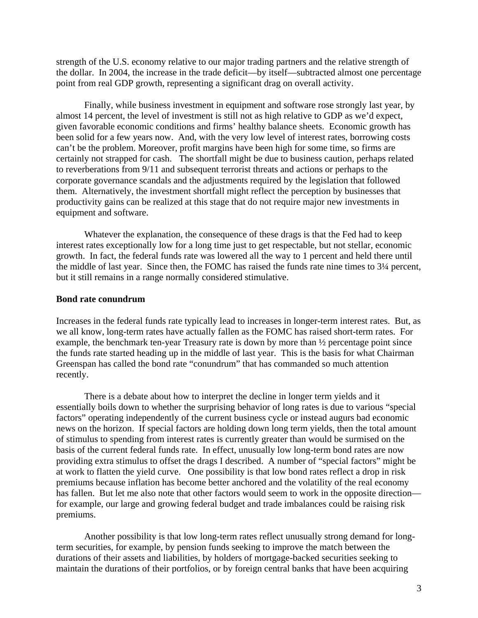strength of the U.S. economy relative to our major trading partners and the relative strength of the dollar. In 2004, the increase in the trade deficit—by itself—subtracted almost one percentage point from real GDP growth, representing a significant drag on overall activity.

Finally, while business investment in equipment and software rose strongly last year, by almost 14 percent, the level of investment is still not as high relative to GDP as we'd expect, given favorable economic conditions and firms' healthy balance sheets. Economic growth has been solid for a few years now. And, with the very low level of interest rates, borrowing costs can't be the problem. Moreover, profit margins have been high for some time, so firms are certainly not strapped for cash. The shortfall might be due to business caution, perhaps related to reverberations from 9/11 and subsequent terrorist threats and actions or perhaps to the corporate governance scandals and the adjustments required by the legislation that followed them. Alternatively, the investment shortfall might reflect the perception by businesses that productivity gains can be realized at this stage that do not require major new investments in equipment and software.

Whatever the explanation, the consequence of these drags is that the Fed had to keep interest rates exceptionally low for a long time just to get respectable, but not stellar, economic growth. In fact, the federal funds rate was lowered all the way to 1 percent and held there until the middle of last year. Since then, the FOMC has raised the funds rate nine times to 3¼ percent, but it still remains in a range normally considered stimulative.

### **Bond rate conundrum**

Increases in the federal funds rate typically lead to increases in longer-term interest rates. But, as we all know, long-term rates have actually fallen as the FOMC has raised short-term rates. For example, the benchmark ten-year Treasury rate is down by more than ½ percentage point since the funds rate started heading up in the middle of last year. This is the basis for what Chairman Greenspan has called the bond rate "conundrum" that has commanded so much attention recently.

 There is a debate about how to interpret the decline in longer term yields and it essentially boils down to whether the surprising behavior of long rates is due to various "special factors" operating independently of the current business cycle or instead augurs bad economic news on the horizon. If special factors are holding down long term yields, then the total amount of stimulus to spending from interest rates is currently greater than would be surmised on the basis of the current federal funds rate. In effect, unusually low long-term bond rates are now providing extra stimulus to offset the drags I described. A number of "special factors" might be at work to flatten the yield curve. One possibility is that low bond rates reflect a drop in risk premiums because inflation has become better anchored and the volatility of the real economy has fallen. But let me also note that other factors would seem to work in the opposite direction for example, our large and growing federal budget and trade imbalances could be raising risk premiums.

Another possibility is that low long-term rates reflect unusually strong demand for longterm securities, for example, by pension funds seeking to improve the match between the durations of their assets and liabilities, by holders of mortgage-backed securities seeking to maintain the durations of their portfolios, or by foreign central banks that have been acquiring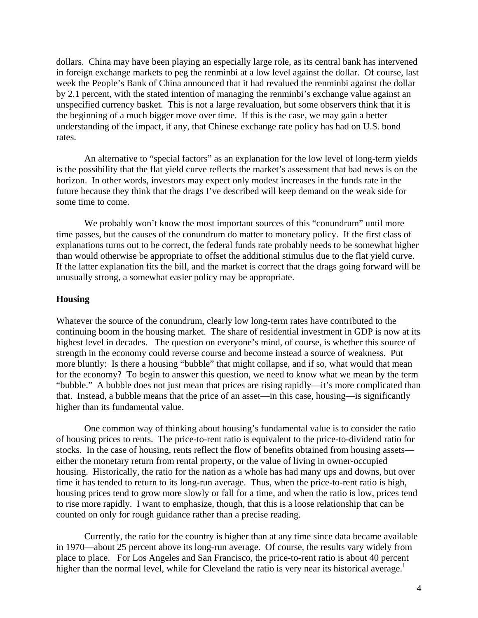dollars. China may have been playing an especially large role, as its central bank has intervened in foreign exchange markets to peg the renminbi at a low level against the dollar. Of course, last week the People's Bank of China announced that it had revalued the renminbi against the dollar by 2.1 percent, with the stated intention of managing the renminbi's exchange value against an unspecified currency basket. This is not a large revaluation, but some observers think that it is the beginning of a much bigger move over time. If this is the case, we may gain a better understanding of the impact, if any, that Chinese exchange rate policy has had on U.S. bond rates.

An alternative to "special factors" as an explanation for the low level of long-term yields is the possibility that the flat yield curve reflects the market's assessment that bad news is on the horizon. In other words, investors may expect only modest increases in the funds rate in the future because they think that the drags I've described will keep demand on the weak side for some time to come.

We probably won't know the most important sources of this "conundrum" until more time passes, but the causes of the conundrum do matter to monetary policy. If the first class of explanations turns out to be correct, the federal funds rate probably needs to be somewhat higher than would otherwise be appropriate to offset the additional stimulus due to the flat yield curve. If the latter explanation fits the bill, and the market is correct that the drags going forward will be unusually strong, a somewhat easier policy may be appropriate.

### **Housing**

Whatever the source of the conundrum, clearly low long-term rates have contributed to the continuing boom in the housing market. The share of residential investment in GDP is now at its highest level in decades. The question on everyone's mind, of course, is whether this source of strength in the economy could reverse course and become instead a source of weakness. Put more bluntly: Is there a housing "bubble" that might collapse, and if so, what would that mean for the economy? To begin to answer this question, we need to know what we mean by the term "bubble." A bubble does not just mean that prices are rising rapidly—it's more complicated than that. Instead, a bubble means that the price of an asset—in this case, housing—is significantly higher than its fundamental value.

One common way of thinking about housing's fundamental value is to consider the ratio of housing prices to rents. The price-to-rent ratio is equivalent to the price-to-dividend ratio for stocks. In the case of housing, rents reflect the flow of benefits obtained from housing assets either the monetary return from rental property, or the value of living in owner-occupied housing. Historically, the ratio for the nation as a whole has had many ups and downs, but over time it has tended to return to its long-run average. Thus, when the price-to-rent ratio is high, housing prices tend to grow more slowly or fall for a time, and when the ratio is low, prices tend to rise more rapidly. I want to emphasize, though, that this is a loose relationship that can be counted on only for rough guidance rather than a precise reading.

Currently, the ratio for the country is higher than at any time since data became available in 1970—about 25 percent above its long-run average. Of course, the results vary widely from place to place. For Los Angeles and San Francisco, the price-to-rent ratio is about 40 percent higher than the normal level, while for Cleveland the ratio is very near its historical average.<sup>1</sup>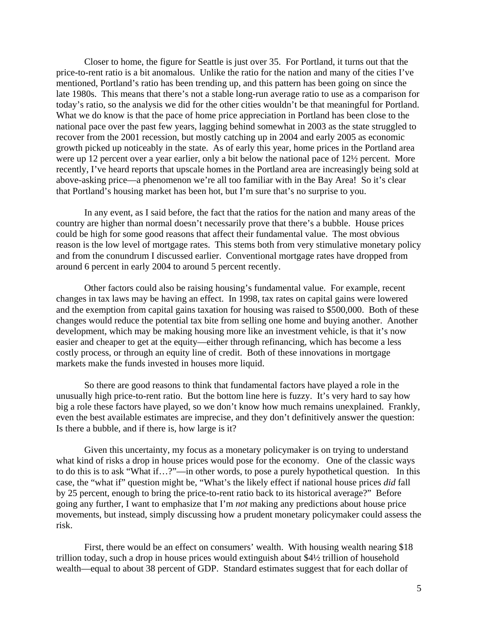Closer to home, the figure for Seattle is just over 35. For Portland, it turns out that the price-to-rent ratio is a bit anomalous. Unlike the ratio for the nation and many of the cities I've mentioned, Portland's ratio has been trending up, and this pattern has been going on since the late 1980s. This means that there's not a stable long-run average ratio to use as a comparison for today's ratio, so the analysis we did for the other cities wouldn't be that meaningful for Portland. What we do know is that the pace of home price appreciation in Portland has been close to the national pace over the past few years, lagging behind somewhat in 2003 as the state struggled to recover from the 2001 recession, but mostly catching up in 2004 and early 2005 as economic growth picked up noticeably in the state. As of early this year, home prices in the Portland area were up 12 percent over a year earlier, only a bit below the national pace of 12½ percent. More recently, I've heard reports that upscale homes in the Portland area are increasingly being sold at above-asking price—a phenomenon we're all too familiar with in the Bay Area! So it's clear that Portland's housing market has been hot, but I'm sure that's no surprise to you.

In any event, as I said before, the fact that the ratios for the nation and many areas of the country are higher than normal doesn't necessarily prove that there's a bubble. House prices could be high for some good reasons that affect their fundamental value. The most obvious reason is the low level of mortgage rates. This stems both from very stimulative monetary policy and from the conundrum I discussed earlier. Conventional mortgage rates have dropped from around 6 percent in early 2004 to around 5 percent recently.

Other factors could also be raising housing's fundamental value. For example, recent changes in tax laws may be having an effect. In 1998, tax rates on capital gains were lowered and the exemption from capital gains taxation for housing was raised to \$500,000. Both of these changes would reduce the potential tax bite from selling one home and buying another. Another development, which may be making housing more like an investment vehicle, is that it's now easier and cheaper to get at the equity—either through refinancing, which has become a less costly process, or through an equity line of credit. Both of these innovations in mortgage markets make the funds invested in houses more liquid.

So there are good reasons to think that fundamental factors have played a role in the unusually high price-to-rent ratio. But the bottom line here is fuzzy. It's very hard to say how big a role these factors have played, so we don't know how much remains unexplained. Frankly, even the best available estimates are imprecise, and they don't definitively answer the question: Is there a bubble, and if there is, how large is it?

Given this uncertainty, my focus as a monetary policymaker is on trying to understand what kind of risks a drop in house prices would pose for the economy. One of the classic ways to do this is to ask "What if…?"—in other words, to pose a purely hypothetical question. In this case, the "what if" question might be, "What's the likely effect if national house prices *did* fall by 25 percent, enough to bring the price-to-rent ratio back to its historical average?" Before going any further, I want to emphasize that I'm *not* making any predictions about house price movements, but instead, simply discussing how a prudent monetary policymaker could assess the risk.

First, there would be an effect on consumers' wealth. With housing wealth nearing \$18 trillion today, such a drop in house prices would extinguish about \$4½ trillion of household wealth—equal to about 38 percent of GDP. Standard estimates suggest that for each dollar of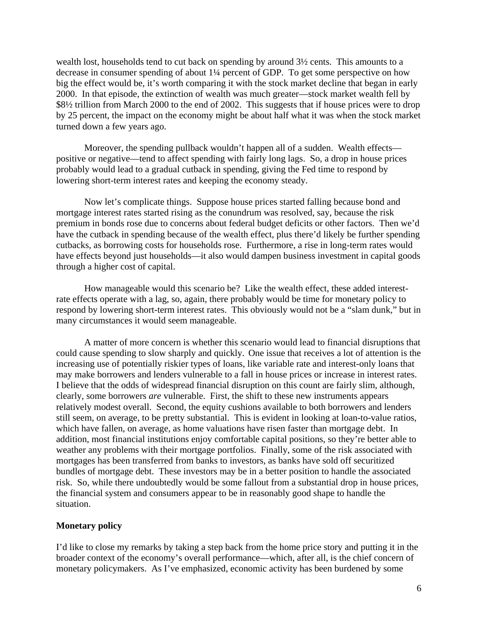wealth lost, households tend to cut back on spending by around 3½ cents. This amounts to a decrease in consumer spending of about 1¼ percent of GDP. To get some perspective on how big the effect would be, it's worth comparing it with the stock market decline that began in early 2000. In that episode, the extinction of wealth was much greater—stock market wealth fell by \$8½ trillion from March 2000 to the end of 2002. This suggests that if house prices were to drop by 25 percent, the impact on the economy might be about half what it was when the stock market turned down a few years ago.

Moreover, the spending pullback wouldn't happen all of a sudden. Wealth effects positive or negative—tend to affect spending with fairly long lags. So, a drop in house prices probably would lead to a gradual cutback in spending, giving the Fed time to respond by lowering short-term interest rates and keeping the economy steady.

Now let's complicate things. Suppose house prices started falling because bond and mortgage interest rates started rising as the conundrum was resolved, say, because the risk premium in bonds rose due to concerns about federal budget deficits or other factors. Then we'd have the cutback in spending because of the wealth effect, plus there'd likely be further spending cutbacks, as borrowing costs for households rose. Furthermore, a rise in long-term rates would have effects beyond just households—it also would dampen business investment in capital goods through a higher cost of capital.

How manageable would this scenario be? Like the wealth effect, these added interestrate effects operate with a lag, so, again, there probably would be time for monetary policy to respond by lowering short-term interest rates. This obviously would not be a "slam dunk," but in many circumstances it would seem manageable.

A matter of more concern is whether this scenario would lead to financial disruptions that could cause spending to slow sharply and quickly. One issue that receives a lot of attention is the increasing use of potentially riskier types of loans, like variable rate and interest-only loans that may make borrowers and lenders vulnerable to a fall in house prices or increase in interest rates. I believe that the odds of widespread financial disruption on this count are fairly slim, although, clearly, some borrowers *are* vulnerable. First, the shift to these new instruments appears relatively modest overall. Second, the equity cushions available to both borrowers and lenders still seem, on average, to be pretty substantial. This is evident in looking at loan-to-value ratios, which have fallen, on average, as home valuations have risen faster than mortgage debt. In addition, most financial institutions enjoy comfortable capital positions, so they're better able to weather any problems with their mortgage portfolios. Finally, some of the risk associated with mortgages has been transferred from banks to investors, as banks have sold off securitized bundles of mortgage debt. These investors may be in a better position to handle the associated risk. So, while there undoubtedly would be some fallout from a substantial drop in house prices, the financial system and consumers appear to be in reasonably good shape to handle the situation.

# **Monetary policy**

I'd like to close my remarks by taking a step back from the home price story and putting it in the broader context of the economy's overall performance—which, after all, is the chief concern of monetary policymakers. As I've emphasized, economic activity has been burdened by some